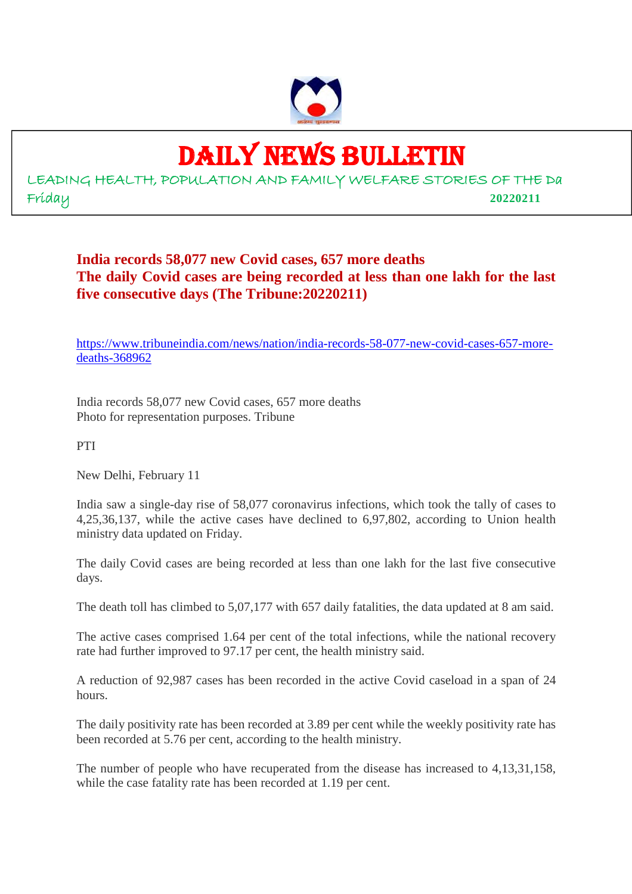

# DAILY NEWS BULLETIN

LEADING HEALTH, POPULATION AND FAMILY WELFARE STORIES OF THE Da Friday **20220211**

## **India records 58,077 new Covid cases, 657 more deaths The daily Covid cases are being recorded at less than one lakh for the last five consecutive days (The Tribune:20220211)**

https://www.tribuneindia.com/news/nation/india-records-58-077-new-covid-cases-657-moredeaths-368962

India records 58,077 new Covid cases, 657 more deaths Photo for representation purposes. Tribune

PTI

New Delhi, February 11

India saw a single-day rise of 58,077 coronavirus infections, which took the tally of cases to 4,25,36,137, while the active cases have declined to 6,97,802, according to Union health ministry data updated on Friday.

The daily Covid cases are being recorded at less than one lakh for the last five consecutive days.

The death toll has climbed to 5,07,177 with 657 daily fatalities, the data updated at 8 am said.

The active cases comprised 1.64 per cent of the total infections, while the national recovery rate had further improved to 97.17 per cent, the health ministry said.

A reduction of 92,987 cases has been recorded in the active Covid caseload in a span of 24 hours.

The daily positivity rate has been recorded at 3.89 per cent while the weekly positivity rate has been recorded at 5.76 per cent, according to the health ministry.

The number of people who have recuperated from the disease has increased to 4,13,31,158, while the case fatality rate has been recorded at 1.19 per cent.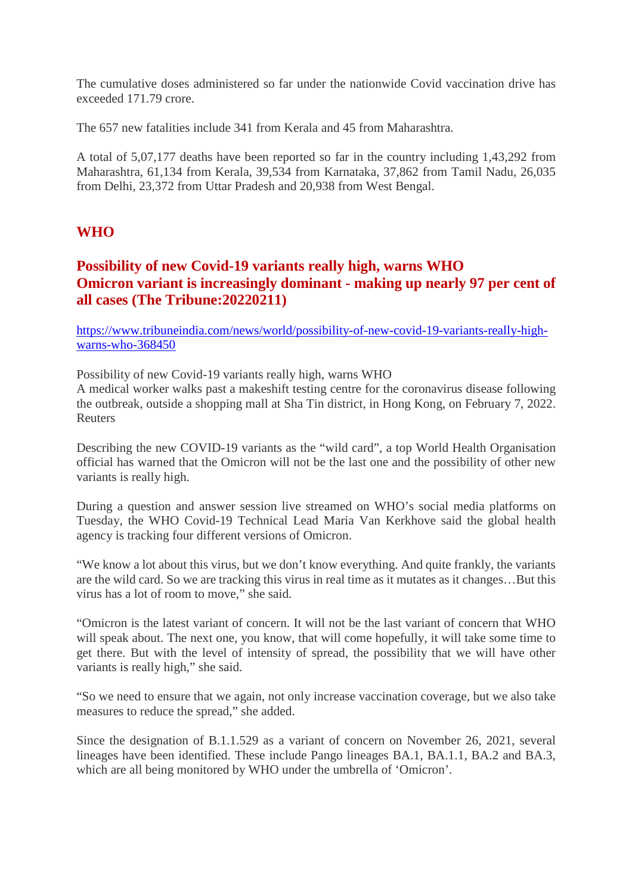The cumulative doses administered so far under the nationwide Covid vaccination drive has exceeded 171.79 crore.

The 657 new fatalities include 341 from Kerala and 45 from Maharashtra.

A total of 5,07,177 deaths have been reported so far in the country including 1,43,292 from Maharashtra, 61,134 from Kerala, 39,534 from Karnataka, 37,862 from Tamil Nadu, 26,035 from Delhi, 23,372 from Uttar Pradesh and 20,938 from West Bengal.

## **WHO**

## **Possibility of new Covid-19 variants really high, warns WHO Omicron variant is increasingly dominant - making up nearly 97 per cent of all cases (The Tribune:20220211)**

https://www.tribuneindia.com/news/world/possibility-of-new-covid-19-variants-really-highwarns-who-368450

Possibility of new Covid-19 variants really high, warns WHO

A medical worker walks past a makeshift testing centre for the coronavirus disease following the outbreak, outside a shopping mall at Sha Tin district, in Hong Kong, on February 7, 2022. Reuters

Describing the new COVID-19 variants as the "wild card", a top World Health Organisation official has warned that the Omicron will not be the last one and the possibility of other new variants is really high.

During a question and answer session live streamed on WHO's social media platforms on Tuesday, the WHO Covid-19 Technical Lead Maria Van Kerkhove said the global health agency is tracking four different versions of Omicron.

"We know a lot about this virus, but we don't know everything. And quite frankly, the variants are the wild card. So we are tracking this virus in real time as it mutates as it changes…But this virus has a lot of room to move," she said.

"Omicron is the latest variant of concern. It will not be the last variant of concern that WHO will speak about. The next one, you know, that will come hopefully, it will take some time to get there. But with the level of intensity of spread, the possibility that we will have other variants is really high," she said.

"So we need to ensure that we again, not only increase vaccination coverage, but we also take measures to reduce the spread," she added.

Since the designation of B.1.1.529 as a variant of concern on November 26, 2021, several lineages have been identified. These include Pango lineages BA.1, BA.1.1, BA.2 and BA.3, which are all being monitored by WHO under the umbrella of 'Omicron'.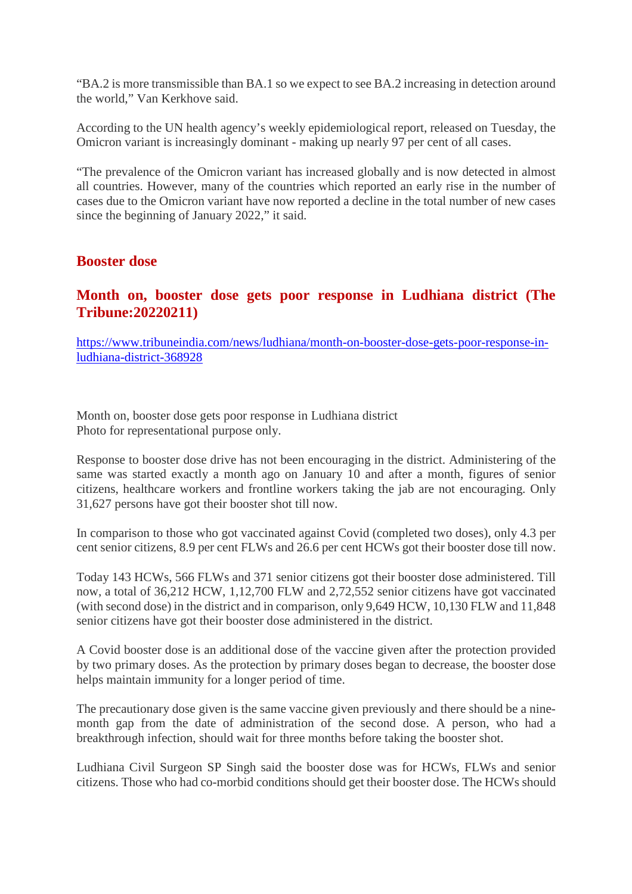"BA.2 is more transmissible than BA.1 so we expect to see BA.2 increasing in detection around the world," Van Kerkhove said.

According to the UN health agency's weekly epidemiological report, released on Tuesday, the Omicron variant is increasingly dominant - making up nearly 97 per cent of all cases.

"The prevalence of the Omicron variant has increased globally and is now detected in almost all countries. However, many of the countries which reported an early rise in the number of cases due to the Omicron variant have now reported a decline in the total number of new cases since the beginning of January 2022," it said.

## **Booster dose**

## **Month on, booster dose gets poor response in Ludhiana district (The Tribune:20220211)**

https://www.tribuneindia.com/news/ludhiana/month-on-booster-dose-gets-poor-response-inludhiana-district-368928

Month on, booster dose gets poor response in Ludhiana district Photo for representational purpose only.

Response to booster dose drive has not been encouraging in the district. Administering of the same was started exactly a month ago on January 10 and after a month, figures of senior citizens, healthcare workers and frontline workers taking the jab are not encouraging. Only 31,627 persons have got their booster shot till now.

In comparison to those who got vaccinated against Covid (completed two doses), only 4.3 per cent senior citizens, 8.9 per cent FLWs and 26.6 per cent HCWs got their booster dose till now.

Today 143 HCWs, 566 FLWs and 371 senior citizens got their booster dose administered. Till now, a total of 36,212 HCW, 1,12,700 FLW and 2,72,552 senior citizens have got vaccinated (with second dose) in the district and in comparison, only 9,649 HCW, 10,130 FLW and 11,848 senior citizens have got their booster dose administered in the district.

A Covid booster dose is an additional dose of the vaccine given after the protection provided by two primary doses. As the protection by primary doses began to decrease, the booster dose helps maintain immunity for a longer period of time.

The precautionary dose given is the same vaccine given previously and there should be a ninemonth gap from the date of administration of the second dose. A person, who had a breakthrough infection, should wait for three months before taking the booster shot.

Ludhiana Civil Surgeon SP Singh said the booster dose was for HCWs, FLWs and senior citizens. Those who had co-morbid conditions should get their booster dose. The HCWs should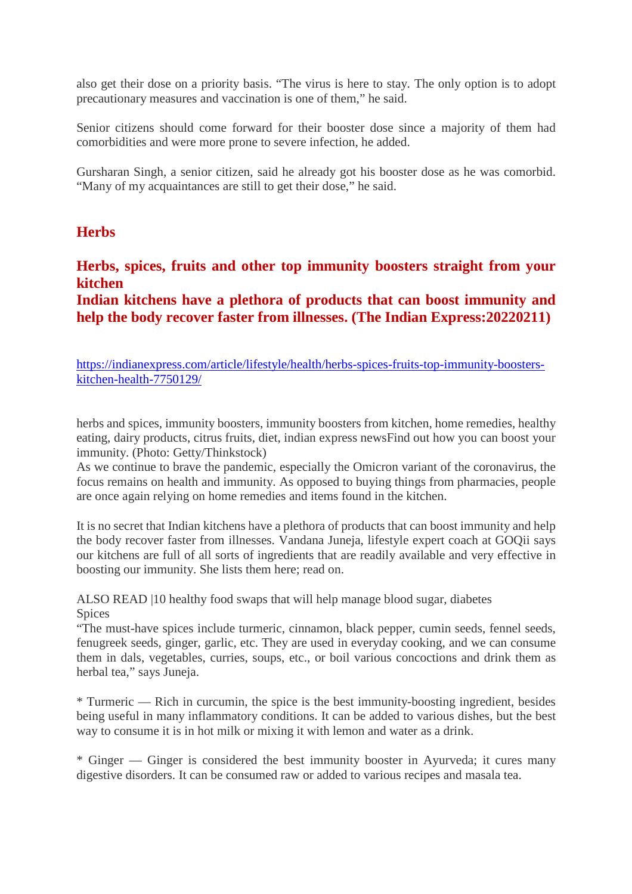also get their dose on a priority basis. "The virus is here to stay. The only option is to adopt precautionary measures and vaccination is one of them," he said.

Senior citizens should come forward for their booster dose since a majority of them had comorbidities and were more prone to severe infection, he added.

Gursharan Singh, a senior citizen, said he already got his booster dose as he was comorbid. "Many of my acquaintances are still to get their dose," he said.

## **Herbs**

**Herbs, spices, fruits and other top immunity boosters straight from your kitchen**

**Indian kitchens have a plethora of products that can boost immunity and help the body recover faster from illnesses. (The Indian Express:20220211)**

https://indianexpress.com/article/lifestyle/health/herbs-spices-fruits-top-immunity-boosterskitchen-health-7750129/

herbs and spices, immunity boosters, immunity boosters from kitchen, home remedies, healthy eating, dairy products, citrus fruits, diet, indian express newsFind out how you can boost your immunity. (Photo: Getty/Thinkstock)

As we continue to brave the pandemic, especially the Omicron variant of the coronavirus, the focus remains on health and immunity. As opposed to buying things from pharmacies, people are once again relying on home remedies and items found in the kitchen.

It is no secret that Indian kitchens have a plethora of products that can boost immunity and help the body recover faster from illnesses. Vandana Juneja, lifestyle expert coach at GOQii says our kitchens are full of all sorts of ingredients that are readily available and very effective in boosting our immunity. She lists them here; read on.

ALSO READ |10 healthy food swaps that will help manage blood sugar, diabetes Spices

"The must-have spices include turmeric, cinnamon, black pepper, cumin seeds, fennel seeds, fenugreek seeds, ginger, garlic, etc. They are used in everyday cooking, and we can consume them in dals, vegetables, curries, soups, etc., or boil various concoctions and drink them as herbal tea," says Juneja.

\* Turmeric — Rich in curcumin, the spice is the best immunity-boosting ingredient, besides being useful in many inflammatory conditions. It can be added to various dishes, but the best way to consume it is in hot milk or mixing it with lemon and water as a drink.

\* Ginger — Ginger is considered the best immunity booster in Ayurveda; it cures many digestive disorders. It can be consumed raw or added to various recipes and masala tea.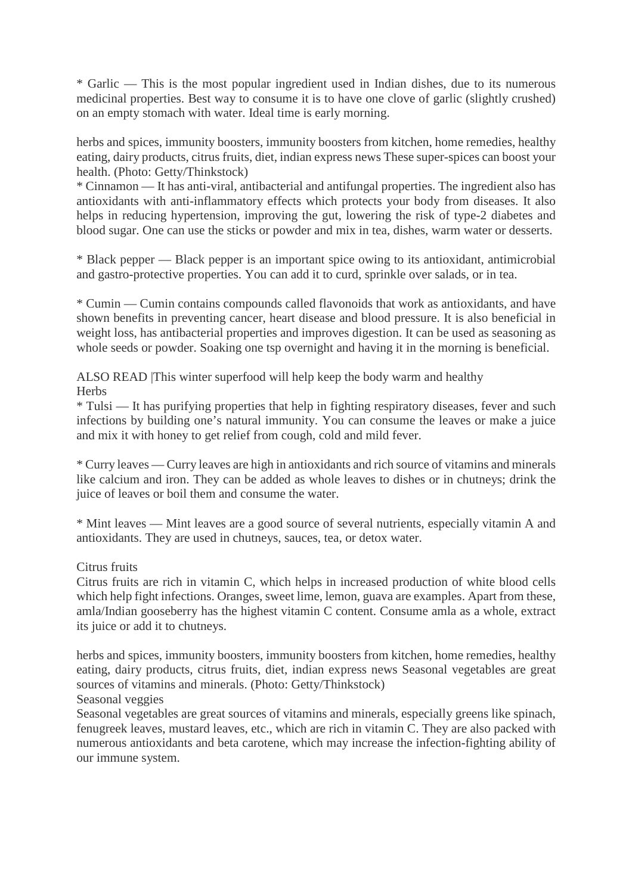\* Garlic — This is the most popular ingredient used in Indian dishes, due to its numerous medicinal properties. Best way to consume it is to have one clove of garlic (slightly crushed) on an empty stomach with water. Ideal time is early morning.

herbs and spices, immunity boosters, immunity boosters from kitchen, home remedies, healthy eating, dairy products, citrus fruits, diet, indian express news These super-spices can boost your health. (Photo: Getty/Thinkstock)

\* Cinnamon — It has anti-viral, antibacterial and antifungal properties. The ingredient also has antioxidants with anti-inflammatory effects which protects your body from diseases. It also helps in reducing hypertension, improving the gut, lowering the risk of type-2 diabetes and blood sugar. One can use the sticks or powder and mix in tea, dishes, warm water or desserts.

\* Black pepper — Black pepper is an important spice owing to its antioxidant, antimicrobial and gastro-protective properties. You can add it to curd, sprinkle over salads, or in tea.

\* Cumin — Cumin contains compounds called flavonoids that work as antioxidants, and have shown benefits in preventing cancer, heart disease and blood pressure. It is also beneficial in weight loss, has antibacterial properties and improves digestion. It can be used as seasoning as whole seeds or powder. Soaking one tsp overnight and having it in the morning is beneficial.

ALSO READ |This winter superfood will help keep the body warm and healthy **Herbs** 

\* Tulsi — It has purifying properties that help in fighting respiratory diseases, fever and such infections by building one's natural immunity. You can consume the leaves or make a juice and mix it with honey to get relief from cough, cold and mild fever.

\* Curry leaves — Curry leaves are high in antioxidants and rich source of vitamins and minerals like calcium and iron. They can be added as whole leaves to dishes or in chutneys; drink the juice of leaves or boil them and consume the water.

\* Mint leaves — Mint leaves are a good source of several nutrients, especially vitamin A and antioxidants. They are used in chutneys, sauces, tea, or detox water.

## Citrus fruits

Citrus fruits are rich in vitamin C, which helps in increased production of white blood cells which help fight infections. Oranges, sweet lime, lemon, guava are examples. Apart from these, amla/Indian gooseberry has the highest vitamin C content. Consume amla as a whole, extract its juice or add it to chutneys.

herbs and spices, immunity boosters, immunity boosters from kitchen, home remedies, healthy eating, dairy products, citrus fruits, diet, indian express news Seasonal vegetables are great sources of vitamins and minerals. (Photo: Getty/Thinkstock) Seasonal veggies

Seasonal vegetables are great sources of vitamins and minerals, especially greens like spinach, fenugreek leaves, mustard leaves, etc., which are rich in vitamin C. They are also packed with numerous antioxidants and beta carotene, which may increase the infection-fighting ability of our immune system.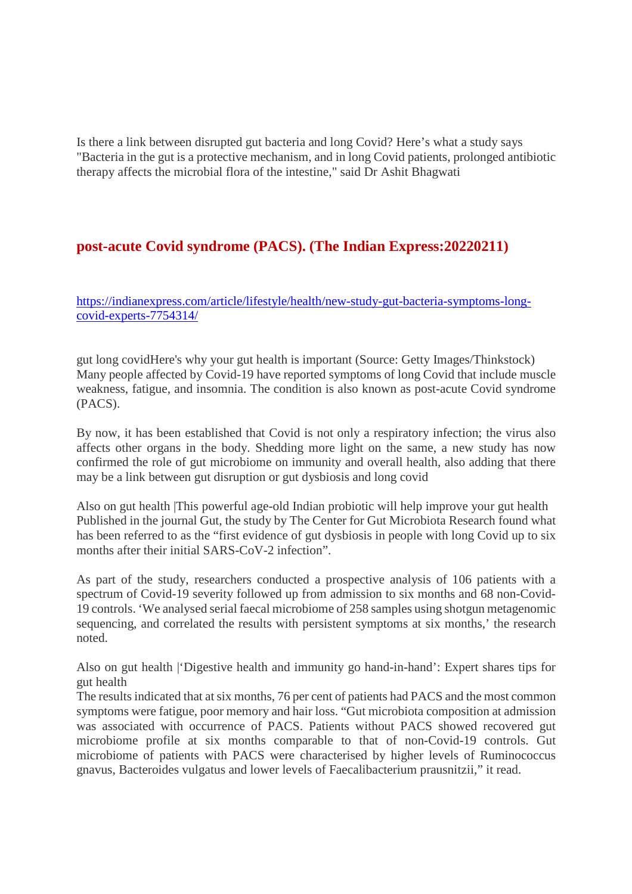Is there a link between disrupted gut bacteria and long Covid? Here's what a study says "Bacteria in the gut is a protective mechanism, and in long Covid patients, prolonged antibiotic therapy affects the microbial flora of the intestine," said Dr Ashit Bhagwati

## **post-acute Covid syndrome (PACS). (The Indian Express:20220211)**

https://indianexpress.com/article/lifestyle/health/new-study-gut-bacteria-symptoms-longcovid-experts-7754314/

gut long covidHere's why your gut health is important (Source: Getty Images/Thinkstock) Many people affected by Covid-19 have reported symptoms of long Covid that include muscle weakness, fatigue, and insomnia. The condition is also known as post-acute Covid syndrome (PACS).

By now, it has been established that Covid is not only a respiratory infection; the virus also affects other organs in the body. Shedding more light on the same, a new study has now confirmed the role of gut microbiome on immunity and overall health, also adding that there may be a link between gut disruption or gut dysbiosis and long covid

Also on gut health |This powerful age-old Indian probiotic will help improve your gut health Published in the journal Gut, the study by The Center for Gut Microbiota Research found what has been referred to as the "first evidence of gut dysbiosis in people with long Covid up to six months after their initial SARS-CoV-2 infection".

As part of the study, researchers conducted a prospective analysis of 106 patients with a spectrum of Covid-19 severity followed up from admission to six months and 68 non-Covid-19 controls. 'We analysed serial faecal microbiome of 258 samples using shotgun metagenomic sequencing, and correlated the results with persistent symptoms at six months,' the research noted.

Also on gut health |'Digestive health and immunity go hand-in-hand': Expert shares tips for gut health

The results indicated that at six months, 76 per cent of patients had PACS and the most common symptoms were fatigue, poor memory and hair loss. "Gut microbiota composition at admission was associated with occurrence of PACS. Patients without PACS showed recovered gut microbiome profile at six months comparable to that of non-Covid-19 controls. Gut microbiome of patients with PACS were characterised by higher levels of Ruminococcus gnavus, Bacteroides vulgatus and lower levels of Faecalibacterium prausnitzii," it read.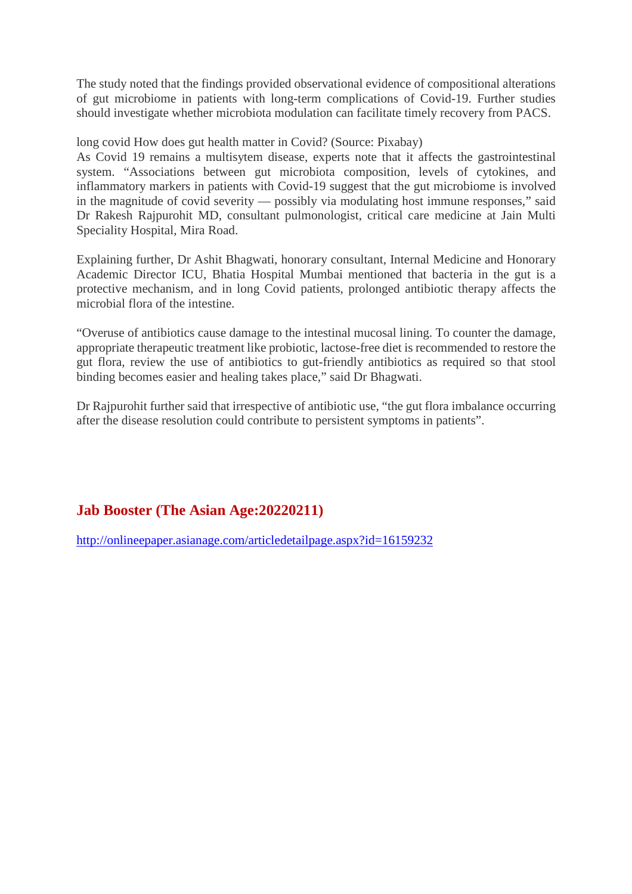The study noted that the findings provided observational evidence of compositional alterations of gut microbiome in patients with long-term complications of Covid-19. Further studies should investigate whether microbiota modulation can facilitate timely recovery from PACS.

long covid How does gut health matter in Covid? (Source: Pixabay)

As Covid 19 remains a multisytem disease, experts note that it affects the gastrointestinal system. "Associations between gut microbiota composition, levels of cytokines, and inflammatory markers in patients with Covid-19 suggest that the gut microbiome is involved in the magnitude of covid severity — possibly via modulating host immune responses," said Dr Rakesh Rajpurohit MD, consultant pulmonologist, critical care medicine at Jain Multi Speciality Hospital, Mira Road.

Explaining further, Dr Ashit Bhagwati, honorary consultant, Internal Medicine and Honorary Academic Director ICU, Bhatia Hospital Mumbai mentioned that bacteria in the gut is a protective mechanism, and in long Covid patients, prolonged antibiotic therapy affects the microbial flora of the intestine.

"Overuse of antibiotics cause damage to the intestinal mucosal lining. To counter the damage, appropriate therapeutic treatment like probiotic, lactose-free diet is recommended to restore the gut flora, review the use of antibiotics to gut-friendly antibiotics as required so that stool binding becomes easier and healing takes place," said Dr Bhagwati.

Dr Rajpurohit further said that irrespective of antibiotic use, "the gut flora imbalance occurring after the disease resolution could contribute to persistent symptoms in patients".

## **Jab Booster (The Asian Age:20220211)**

http://onlineepaper.asianage.com/articledetailpage.aspx?id=16159232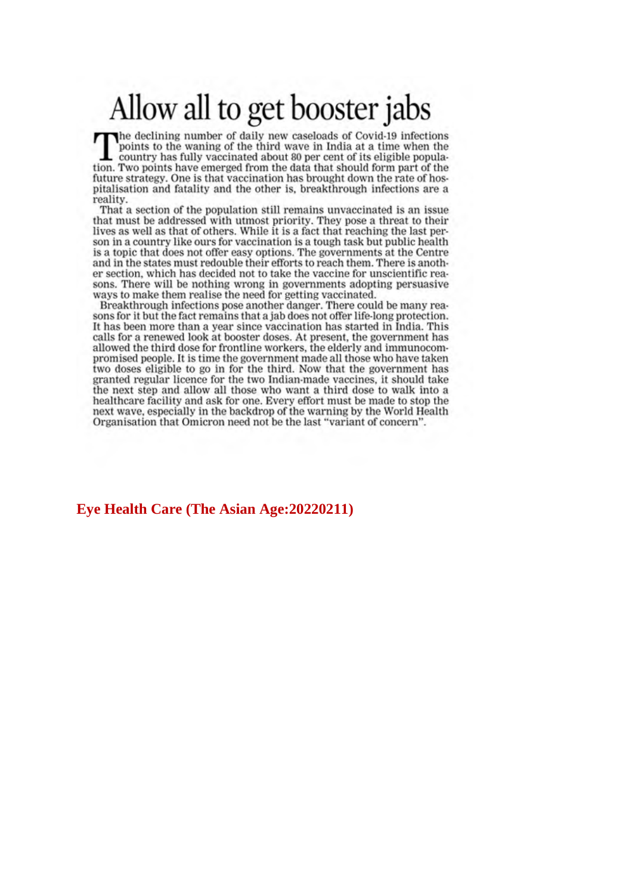## Allow all to get booster jabs

The declining number of daily new caseloads of Covid-19 infections points to the waning of the third wave in India at a time when the country has fully vaccinated about 80 per cent of its eligible population. Two points have emerged from the data that should form part of the future strategy. One is that vaccination has brought down the rate of hospitalisation and fatality and the other is, breakthrough infections are a reality.

That a section of the population still remains unvaccinated is an issue that must be addressed with utmost priority. They pose a threat to their lives as well as that of others. While it is a fact that reaching the last person in a country like ours for vaccination is a tough task but public health is a topic that does not offer easy options. The governments at the Centre and in the states must redouble their efforts to reach them. There is another section, which has decided not to take the vaccine for unscientific reasons. There will be nothing wrong in governments adopting persuasive ways to make them realise the need for getting vaccinated.

Breakthrough infections pose another danger. There could be many reasons for it but the fact remains that a jab does not offer life-long protection. It has been more than a year since vaccination has started in India. This calls for a renewed look at booster doses. At present, the government has allowed the third dose for frontline workers, the elderly and immunocompromised people. It is time the government made all those who have taken two doses eligible to go in for the third. Now that the government has granted regular licence for the two Indian-made vaccines, it should take the next step and allow all those who want a third dose to walk into a healthcare facility and ask for one. Every effort must be made to stop the next wave, especially in the backdrop of the warning by the World Health Organisation that Omicron need not be the last "variant of concern".

## **Eve Health Care (The Asian Age: 20220211)**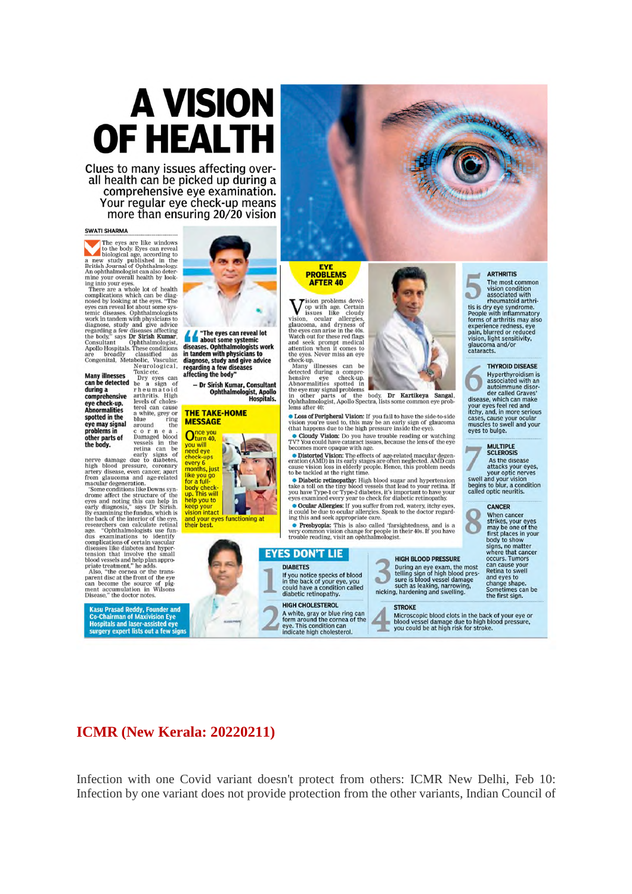# A VISION OF HEALTH

Clues to many issues affecting overall health can be picked up during a comprehensive eye examination. Your regular eye check-up means more than ensuring 20/20 vision

### **SWATI SHARMA**

The eyes are like windows<br>a new study liberal cording to the body. Even all the strict and position<br>and of Ophthalmology and An ophthalmologist can also determine your<br>new study by the string with the string with the strin

An ophthalmologist can also determine your overall helable by looking at the exact of health by looking at the eyes. The mass a whole lot of health complications which can be diagnose, study and give above the event term

early signs of<br>early damage due to diabetes,<br>high blood pressure, coronary<br>artery disease, even cancer, apart<br>from glaucoma and age-related<br>macular degeneration.<br>Some conditions like Downs syn-<br>drome affect the structure o

Kasu Prasad Reddy, Founder and<br>Co-Chairman of Maxivision Eye<br>Hospitals and laser-assisted eye<br>surgery expert lists out a few signs



 $\sum$  with a bout some systemic<br>diseases. Optitalmologies work<br>time tandem with physicians to<br>diagnose, study and give advice<br>regarding a few diseases affecting the body'

- Dr Sirish Kumar, Consultant Ophthalmologist, Apollo<br>Hospitals.

#### **THE TAKE-HOME MESSAGE**







**AFTER 40** 

Many issues and securing the control of the section<br>
of the section of the section of the eyes can arise in the dose the<br>
discuss and section of the eyes can arise in the 40s.<br>
Watch out for these red flags and seek prompt

**COSC OF DEPERTUAL CONSECT A** you fail to have the side-to-side vision you're used to, this may be an early sign of glaucoma (that happens due to the high pressure inside the eye). • Cloudy Vision: Do you have trouble reading or watching TV? You could have cataract issues, because the lens of the eye

becomes more opaque with age.

Contribution: The effects of age-related macular degeneration (AMD) in its early stages are often neglected. AMD can cause vision loss in elderly people. Hence, this problem needs to be tackled at the right time.

**Solution Contains the Contains of the Contains of the Contains of the Contains of the analytic state of the contains of your have Type-2 of the container of the container of the container of the container of the container** 

eyes examined every year to check for dialocate retinopathy.<br> **Occular Allergies:** If you suffer from red, watery, it could be due to occular allergies. Speak to the doctor regarding this and seek appropriate care.<br> **•• Pr** 

## HIGH BLOOD PRESSURE ⋍

Dicroscopic blood clots in the back of your eye or<br>blood vessel damage due to high blood pressure,<br>you could be at high risk for stroke.

rneumatoid arthri-<br>tis is dry eye syndrome.<br>People with inflammatory forms of arthritis may also forms of arthritis may all<br>experience redness, eye<br>pain, blurred or reduced<br>vision, light sensitivity,<br>glaucoma and/or<br>cataracts. **THYROID DISEASE** 

The most common<br>vision condition<br>associated with<br>rheumatoid arthri-

ö.

Hyperthyroidism is<br>associated with an<br>automated Graves'<br>der called Graves'<br>your eyes feel red and<br>cases, which can make<br>cases cause your ocular cases, cause your ocular<br>muscles to swell and your eves to bulge.

**MULTIPLE**<br>SCLEROSIS

As the disease<br>attacks your eyes,<br>swell and your optic nerves<br>begins to blur, a condition<br>called optic neuritis.



When cancer<br>strikes, your eyes<br>may be one of the<br>first places in your<br>body to show signs, no matter<br>where that cancer occurs. Tumors cacurs. Tumors<br>can cause your<br>Retina to swell<br>and eyes to<br>change shape.<br>Sometimes can be<br>the first sign.

Participation of the participation of the most<br>telling sign of high blood pressure is blood versure is blood versure.<br>such as leaking, narrowing,<br>nicking, hardening and swelling.

### **STROKE**



Infection with one Covid variant doesn't protect from others: ICMR New Delhi, Feb 10: Infection by one variant does not provide protection from the other variants, Indian Council of

**EYES DON'T LIE** 

**HIGH CHOLESTEROL** 

If you notice specks of blood<br>in the back of your eye, you<br>could have a condition called<br>diabetic retinopathy.

A white, gray or blue ring can<br>form around the cornea of the<br>eye. This condition can<br>indicate high cholesterol.

**DIARFTES** 

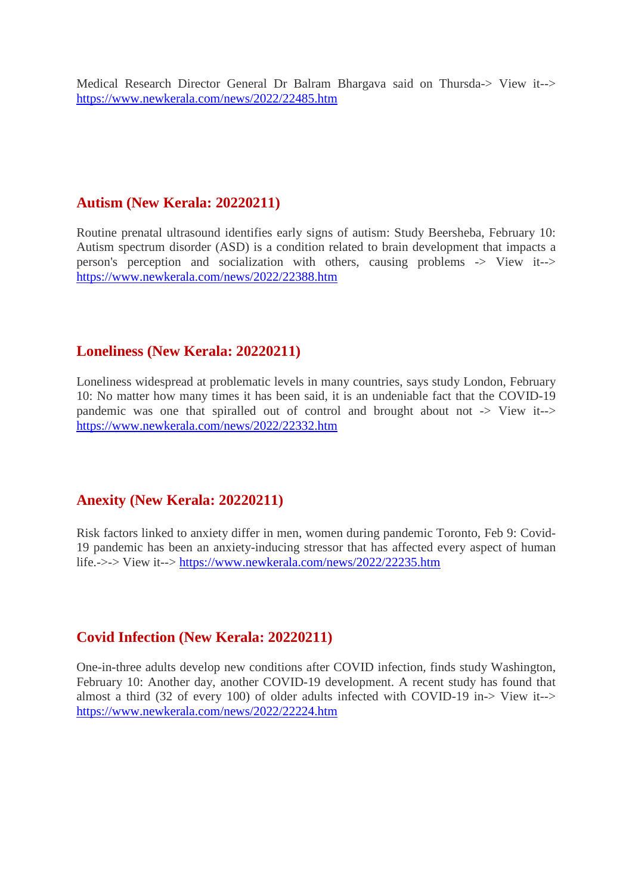Medical Research Director General Dr Balram Bhargava said on Thursda-> View it--> https://www.newkerala.com/news/2022/22485.htm

## **Autism (New Kerala: 20220211)**

Routine prenatal ultrasound identifies early signs of autism: Study Beersheba, February 10: Autism spectrum disorder (ASD) is a condition related to brain development that impacts a person's perception and socialization with others, causing problems -> View it--> https://www.newkerala.com/news/2022/22388.htm

## **Loneliness (New Kerala: 20220211)**

Loneliness widespread at problematic levels in many countries, says study London, February 10: No matter how many times it has been said, it is an undeniable fact that the COVID-19 pandemic was one that spiralled out of control and brought about not -> View it--> https://www.newkerala.com/news/2022/22332.htm

## **Anexity (New Kerala: 20220211)**

Risk factors linked to anxiety differ in men, women during pandemic Toronto, Feb 9: Covid-19 pandemic has been an anxiety-inducing stressor that has affected every aspect of human life.->-> View it--> https://www.newkerala.com/news/2022/22235.htm

## **Covid Infection (New Kerala: 20220211)**

One-in-three adults develop new conditions after COVID infection, finds study Washington, February 10: Another day, another COVID-19 development. A recent study has found that almost a third (32 of every 100) of older adults infected with COVID-19 in-> View it--> https://www.newkerala.com/news/2022/22224.htm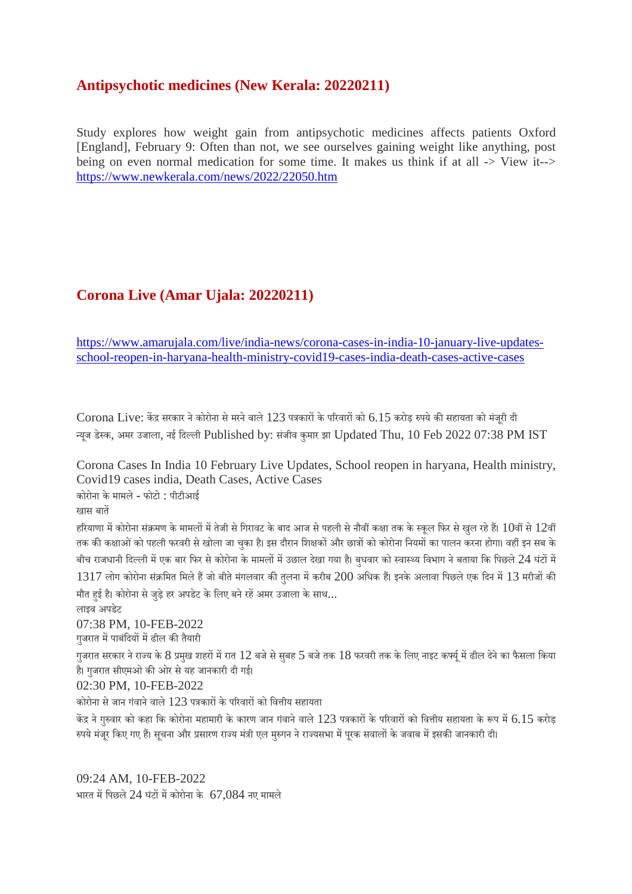## **Antipsychotic medicines (New Kerala: 20220211)**

Study explores how weight gain from antipsychotic medicines affects patients Oxford [England], February 9: Often than not, we see ourselves gaining weight like anything, post being on even normal medication for some time. It makes us think if at all -> View it--> https://www.newkerala.com/news/2022/22050.htm

## **Corona Live (Amar Ujala: 20220211)**

https://www.amarujala.com/live/india-news/corona-cases-in-india-10-january-live-updatesschool-reopen-in-haryana-health-ministry-covid19-cases-india-death-cases-active-cases

 $\emph{Corona Live: }$  केंद्र सरकार ने कोरोना से मरने वाले  $123$  पत्रकारों के परिवारों को  $6.15$  करोड़ रुपये की सहायता को मंजरी दी यजू डेक, अमर उजाला, नई िदली Published by: संजीव कुमार झा Updated Thu, 10 Feb 2022 07:38 PM IST

Corona Cases In India 10 February Live Updates, School reopen in haryana, Health ministry, Covid19 cases india, Death Cases, Active Cases

कोरोना के मामले- फोटो : पीटीआई

खास बात

हरियाणा में कोरोना संक्रमण के मामलों में तेजी से गिरावट के बाद आज से पहली से नौवीं कक्षा तक के स्कूल फिर से खुल रहे हैं।  $10$ वीं से  $12$ वीं तक की कक्षाओं को पहली फरवरी से खोला जा चुका है। इस दौरान शिक्षकों और छात्रों को कोरोना नियमों का पालन करना होगा। वहीं इन सब के बीच राजधानी दिल्ली में एक बार फिर से कोरोना के मामलों में उछाल देखा गया है। बुधवार को स्वास्थ्य विभाग ने बताया कि पिछले 24 घंटों में  $1317$  लोग कोरोना संक्रमित मिले हैं जो बीते मंगलवार की तलना में करीब  $200$  अधिक हैं। इनके अलावा पिछले एक दिन में  $13$  मरीजों की मौत हई है। कोरोना से जड़े हर अपडेट के लिए बने रहें अमर उजाला के साथ...

लाइव अपडेट

07:38 PM, 10-FEB-2022

गजरात में पाबंदियों में ढील की तैयारी

गुजरात सरकार ने राज्य के 8 प्रमुख शहरों में रात 12 बजे से सुबह 5 बजे तक 18 फरवरी तक के लिए नाइट कर्फ्यू में ढील देने का फैसला किया है। गजरात सीएमओ की ओर से यह जानकारी दी गई।

02:30 PM, 10-FEB-2022

कोरोना से जान गंवाने वाले 123 पत्रकारों के परिवारों को वित्तीय सहायता

केंद्र ने गुरुवार को कहा कि कोरोना महामारी के कारण जान गंवाने वाले  $123$  पत्रकारों के परिवारों को वित्तीय सहायता के रूप में  $6.15$  करोड़ रुपये मंजूर किए गए हैं। सूचना और प्रसारण राज्य मंत्री एल मुरुगन ने राज्यसभा में पुरक सवालों के जवाब में इसकी जानकारी दी।

09:24 AM, 10-FEB-2022 भारत में पिछले  $24$  घंटों में कोरोना के  $67,084$  नए मामले